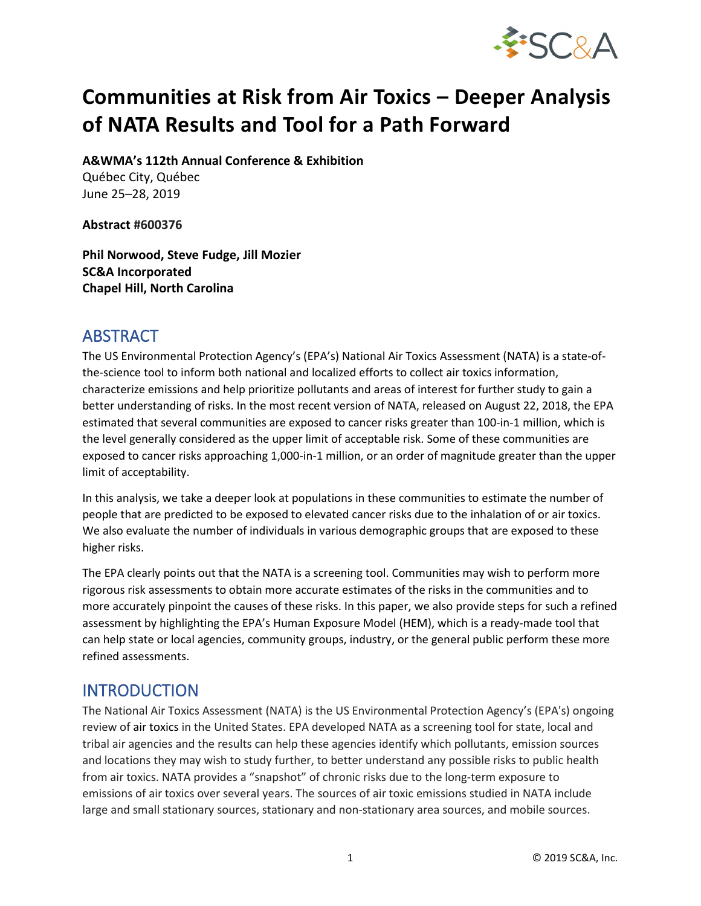

# **Communities at Risk from Air Toxics – Deeper Analysis of NATA Results and Tool for a Path Forward**

**A&WMA's 112th Annual Conference & Exhibition**

Québec City, Québec June 25–28, 2019

**Abstract #600376**

**Phil Norwood, Steve Fudge, Jill Mozier SC&A Incorporated Chapel Hill, North Carolina**

## **ABSTRACT**

The US Environmental Protection Agency's (EPA's) National Air Toxics Assessment (NATA) is a state-ofthe-science tool to inform both national and localized efforts to collect air toxics information, characterize emissions and help prioritize pollutants and areas of interest for further study to gain a better understanding of risks. In the most recent version of NATA, released on August 22, 2018, the EPA estimated that several communities are exposed to cancer risks greater than 100-in-1 million, which is the level generally considered as the upper limit of acceptable risk. Some of these communities are exposed to cancer risks approaching 1,000-in-1 million, or an order of magnitude greater than the upper limit of acceptability.

In this analysis, we take a deeper look at populations in these communities to estimate the number of people that are predicted to be exposed to elevated cancer risks due to the inhalation of or air toxics. We also evaluate the number of individuals in various demographic groups that are exposed to these higher risks.

The EPA clearly points out that the NATA is a screening tool. Communities may wish to perform more rigorous risk assessments to obtain more accurate estimates of the risks in the communities and to more accurately pinpoint the causes of these risks. In this paper, we also provide steps for such a refined assessment by highlighting the EPA's Human Exposure Model (HEM), which is a ready-made tool that can help state or local agencies, community groups, industry, or the general public perform these more refined assessments.

## INTRODUCTION

The National Air Toxics Assessment (NATA) is the US Environmental Protection Agency's (EPA's) ongoing review of air toxics in the United States. EPA developed NATA as a screening tool for state, local and tribal air agencies and the results can help these agencies identify which pollutants, emission sources and locations they may wish to study further, to better understand any possible risks to public health from air toxics. NATA provides a "snapshot" of chronic risks due to the long-term exposure to emissions of air toxics over several years. The sources of air toxic emissions studied in NATA include large and small stationary sources, stationary and non-stationary area sources, and mobile sources.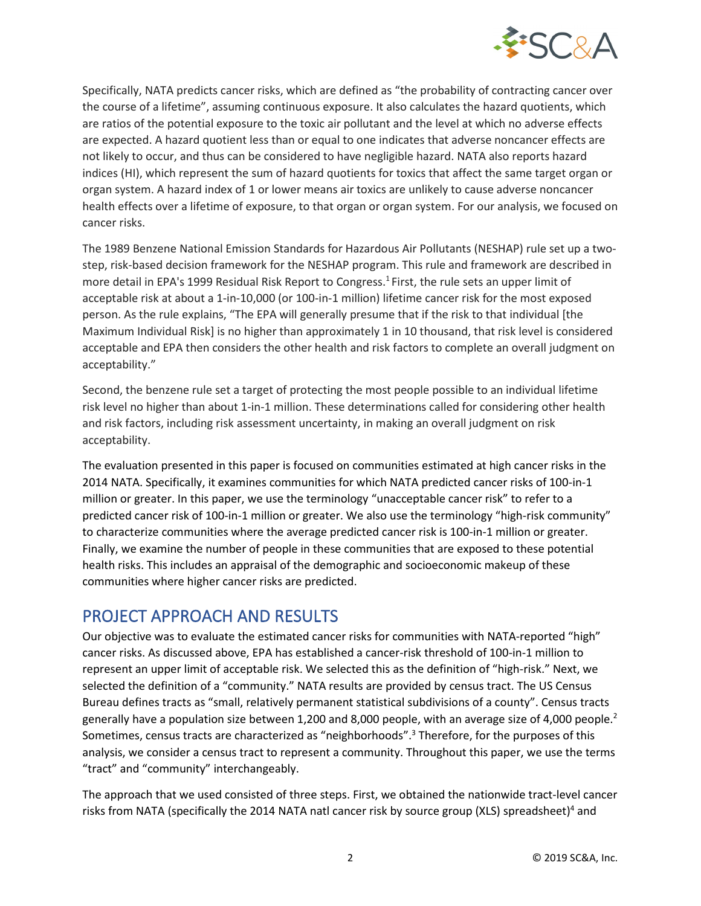

Specifically, NATA predicts cancer risks, which are defined as "the probability of contracting cancer over the course of a lifetime", assuming continuous exposure. It also calculates the hazard quotients, which are ratios of the potential exposure to the toxic air pollutant and the level at which no adverse effects are expected. A hazard quotient less than or equal to one indicates that adverse noncancer effects are not likely to occur, and thus can be considered to have negligible hazard. NATA also reports hazard indices (HI), which represent the sum of hazard quotients for toxics that affect the same target organ or organ system. A hazard index of 1 or lower means air toxics are unlikely to cause adverse noncancer health effects over a lifetime of exposure, to that organ or organ system. For our analysis, we focused on cancer risks.

The 1989 Benzene National Emission Standards for Hazardous Air Pollutants (NESHAP) rule set up a twostep, risk-based decision framework for the NESHAP program. This rule and framework are described in more detail in EPA's 1999 Residual Risk Report to Congress. 1 First, the rule sets an upper limit of acceptable risk at about a 1-in-10,000 (or 100-in-1 million) lifetime cancer risk for the most exposed person. As the rule explains, "The EPA will generally presume that if the risk to that individual [the Maximum Individual Risk] is no higher than approximately 1 in 10 thousand, that risk level is considered acceptable and EPA then considers the other health and risk factors to complete an overall judgment on acceptability."

Second, the benzene rule set a target of protecting the most people possible to an individual lifetime risk level no higher than about 1-in-1 million. These determinations called for considering other health and risk factors, including risk assessment uncertainty, in making an overall judgment on risk acceptability.

The evaluation presented in this paper is focused on communities estimated at high cancer risks in the 2014 NATA. Specifically, it examines communities for which NATA predicted cancer risks of 100-in-1 million or greater. In this paper, we use the terminology "unacceptable cancer risk" to refer to a predicted cancer risk of 100-in-1 million or greater. We also use the terminology "high-risk community" to characterize communities where the average predicted cancer risk is 100-in-1 million or greater. Finally, we examine the number of people in these communities that are exposed to these potential health risks. This includes an appraisal of the demographic and socioeconomic makeup of these communities where higher cancer risks are predicted.

# PROJECT APPROACH AND RESULTS

Our objective was to evaluate the estimated cancer risks for communities with NATA-reported "high" cancer risks. As discussed above, EPA has established a cancer-risk threshold of 100-in-1 million to represent an upper limit of acceptable risk. We selected this as the definition of "high-risk." Next, we selected the definition of a "community." NATA results are provided by census tract. The US Census Bureau defines tracts as "small, relatively permanent statistical subdivisions of a county". Census tracts generally have a population size between 1,200 and 8,000 people, with an average size of 4,000 people.<sup>2</sup> Sometimes, census tracts are characterized as "neighborhoods". <sup>3</sup> Therefore, for the purposes of this analysis, we consider a census tract to represent a community. Throughout this paper, we use the terms "tract" and "community" interchangeably.

The approach that we used consisted of three steps. First, we obtained the nationwide tract-level cancer risks from NATA (specifically the 2014 NATA natl cancer risk by source group (XLS) spreadsheet)<sup>4</sup> and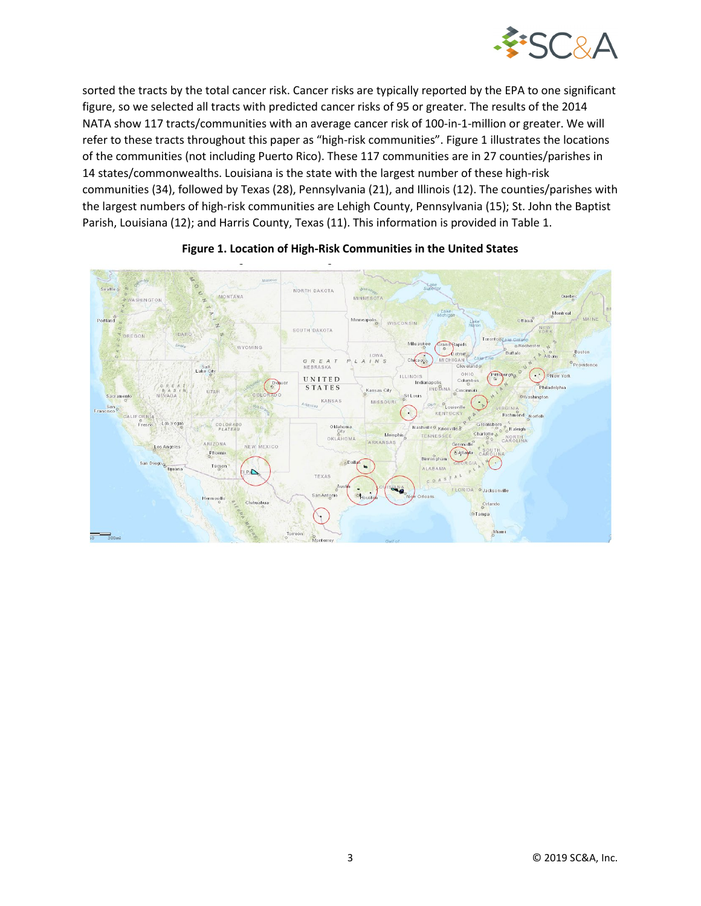

sorted the tracts by the total cancer risk. Cancer risks are typically reported by the EPA to one significant figure, so we selected all tracts with predicted cancer risks of 95 or greater. The results of the 2014 NATA show 117 tracts/communities with an average cancer risk of 100-in-1-million or greater. We will refer to these tracts throughout this paper as "high-risk communities". Figure 1 illustrates the locations of the communities (not including Puerto Rico). These 117 communities are in 27 counties/parishes in 14 states/commonwealths. Louisiana is the state with the largest number of these high-risk communities (34), followed by Texas (28), Pennsylvania (21), and Illinois (12). The counties/parishes with the largest numbers of high-risk communities are Lehigh County, Pennsylvania (15); St. John the Baptist Parish, Louisiana (12); and Harris County, Texas (11). This information is provided in Table 1.



#### **Figure 1. Location of High-Risk Communities in the United States**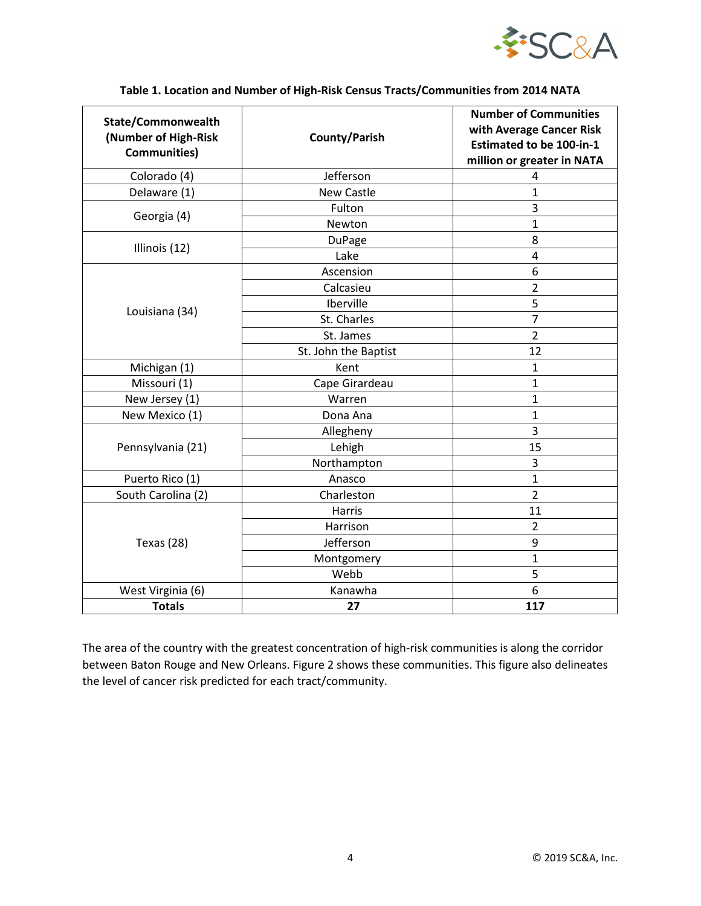

| State/Commonwealth<br>(Number of High-Risk<br><b>Communities)</b> | <b>County/Parish</b> | <b>Number of Communities</b><br>with Average Cancer Risk<br><b>Estimated to be 100-in-1</b><br>million or greater in NATA |
|-------------------------------------------------------------------|----------------------|---------------------------------------------------------------------------------------------------------------------------|
| Colorado (4)                                                      | Jefferson            | 4                                                                                                                         |
| Delaware (1)                                                      | <b>New Castle</b>    | $\mathbf{1}$                                                                                                              |
| Georgia (4)                                                       | Fulton               | 3                                                                                                                         |
|                                                                   | Newton               | $\mathbf{1}$                                                                                                              |
| Illinois (12)                                                     | <b>DuPage</b>        | 8                                                                                                                         |
|                                                                   | Lake                 | 4                                                                                                                         |
|                                                                   | Ascension            | 6                                                                                                                         |
|                                                                   | Calcasieu            | $\overline{2}$                                                                                                            |
|                                                                   | Iberville            | 5                                                                                                                         |
| Louisiana (34)                                                    | St. Charles          | $\overline{7}$                                                                                                            |
|                                                                   | St. James            | $\overline{2}$                                                                                                            |
|                                                                   | St. John the Baptist | 12                                                                                                                        |
| Michigan (1)                                                      | Kent                 | $\mathbf{1}$                                                                                                              |
| Missouri (1)                                                      | Cape Girardeau       | $\mathbf{1}$                                                                                                              |
| New Jersey (1)                                                    | Warren               | $\mathbf{1}$                                                                                                              |
| New Mexico (1)                                                    | Dona Ana             | $\mathbf{1}$                                                                                                              |
| Pennsylvania (21)                                                 | Allegheny            | 3                                                                                                                         |
|                                                                   | Lehigh               | 15                                                                                                                        |
|                                                                   | Northampton          | 3                                                                                                                         |
| Puerto Rico (1)                                                   | Anasco               | $\mathbf{1}$                                                                                                              |
| South Carolina (2)                                                | Charleston           | $\overline{2}$                                                                                                            |
| Texas (28)                                                        | <b>Harris</b>        | 11                                                                                                                        |
|                                                                   | Harrison             | $\overline{2}$                                                                                                            |
|                                                                   | Jefferson            | 9                                                                                                                         |
|                                                                   | Montgomery           | $\mathbf{1}$                                                                                                              |
|                                                                   | Webb                 | 5                                                                                                                         |
| West Virginia (6)                                                 | Kanawha              | 6                                                                                                                         |
| <b>Totals</b>                                                     | 27                   | 117                                                                                                                       |

#### **Table 1. Location and Number of High-Risk Census Tracts/Communities from 2014 NATA**

The area of the country with the greatest concentration of high-risk communities is along the corridor between Baton Rouge and New Orleans. Figure 2 shows these communities. This figure also delineates the level of cancer risk predicted for each tract/community.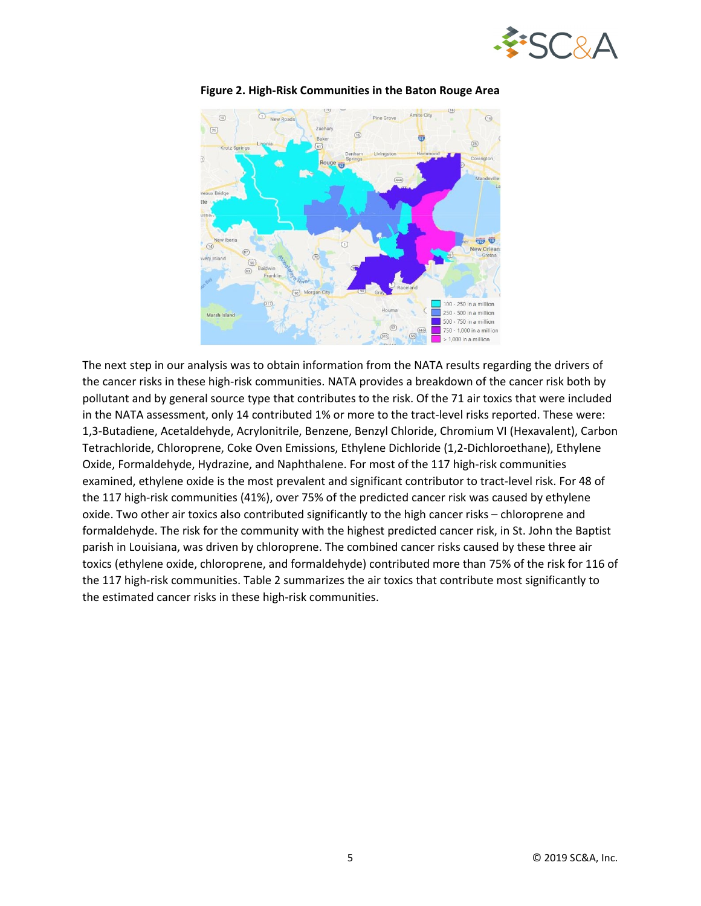



**Figure 2. High-Risk Communities in the Baton Rouge Area**

The next step in our analysis was to obtain information from the NATA results regarding the drivers of the cancer risks in these high-risk communities. NATA provides a breakdown of the cancer risk both by pollutant and by general source type that contributes to the risk. Of the 71 air toxics that were included in the NATA assessment, only 14 contributed 1% or more to the tract-level risks reported. These were: 1,3-Butadiene, Acetaldehyde, Acrylonitrile, Benzene, Benzyl Chloride, Chromium VI (Hexavalent), Carbon Tetrachloride, Chloroprene, Coke Oven Emissions, Ethylene Dichloride (1,2-Dichloroethane), Ethylene Oxide, Formaldehyde, Hydrazine, and Naphthalene. For most of the 117 high-risk communities examined, ethylene oxide is the most prevalent and significant contributor to tract-level risk. For 48 of the 117 high-risk communities (41%), over 75% of the predicted cancer risk was caused by ethylene oxide. Two other air toxics also contributed significantly to the high cancer risks – chloroprene and formaldehyde. The risk for the community with the highest predicted cancer risk, in St. John the Baptist parish in Louisiana, was driven by chloroprene. The combined cancer risks caused by these three air toxics (ethylene oxide, chloroprene, and formaldehyde) contributed more than 75% of the risk for 116 of the 117 high-risk communities. Table 2 summarizes the air toxics that contribute most significantly to the estimated cancer risks in these high-risk communities.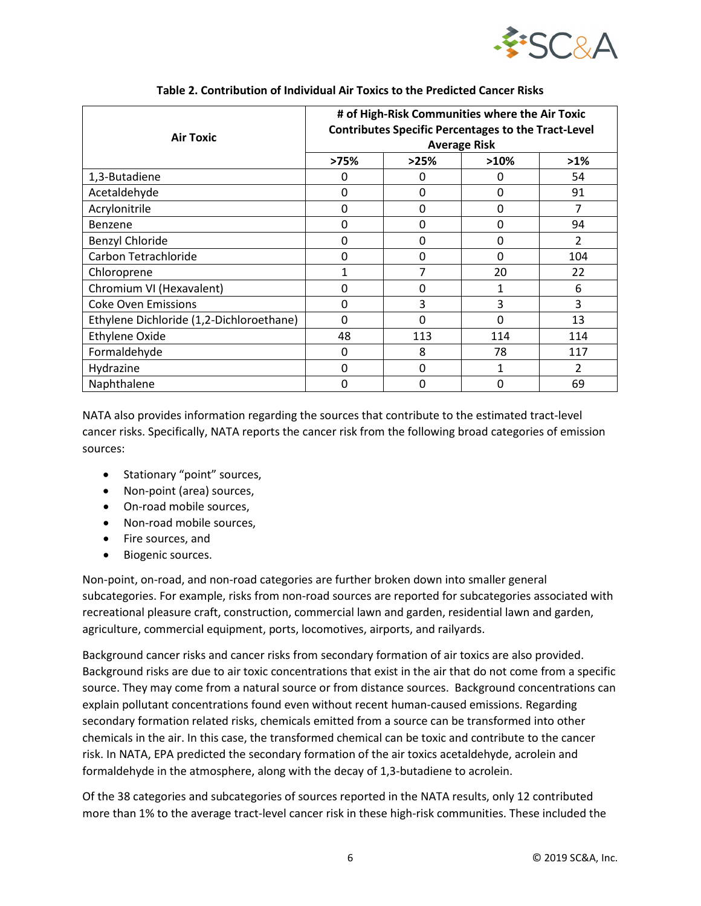

| <b>Air Toxic</b>                         | # of High-Risk Communities where the Air Toxic<br><b>Contributes Specific Percentages to the Tract-Level</b><br><b>Average Risk</b> |          |              |                |
|------------------------------------------|-------------------------------------------------------------------------------------------------------------------------------------|----------|--------------|----------------|
|                                          | >75%                                                                                                                                | >25%     | >10%         | $>1\%$         |
| 1,3-Butadiene                            | 0                                                                                                                                   | Ω        | 0            | 54             |
| Acetaldehyde                             | 0                                                                                                                                   | $\Omega$ | $\mathbf{0}$ | 91             |
| Acrylonitrile                            | 0                                                                                                                                   | $\Omega$ | $\mathbf{0}$ | 7              |
| Benzene                                  | 0                                                                                                                                   | $\Omega$ | $\mathbf{0}$ | 94             |
| Benzyl Chloride                          | 0                                                                                                                                   | $\Omega$ | $\mathbf{0}$ | 2              |
| Carbon Tetrachloride                     | 0                                                                                                                                   | $\Omega$ | $\mathbf{0}$ | 104            |
| Chloroprene                              | $\mathbf{1}$                                                                                                                        |          | 20           | 22             |
| Chromium VI (Hexavalent)                 | 0                                                                                                                                   | 0        | 1            | 6              |
| <b>Coke Oven Emissions</b>               | 0                                                                                                                                   | 3        | 3            | 3              |
| Ethylene Dichloride (1,2-Dichloroethane) | 0                                                                                                                                   | $\Omega$ | $\Omega$     | 13             |
| <b>Ethylene Oxide</b>                    | 48                                                                                                                                  | 113      | 114          | 114            |
| Formaldehyde                             | 0                                                                                                                                   | 8        | 78           | 117            |
| Hydrazine                                | 0                                                                                                                                   | $\Omega$ | 1            | $\mathfrak{p}$ |
| Naphthalene                              | 0                                                                                                                                   | ŋ        | O            | 69             |

#### **Table 2. Contribution of Individual Air Toxics to the Predicted Cancer Risks**

NATA also provides information regarding the sources that contribute to the estimated tract-level cancer risks. Specifically, NATA reports the cancer risk from the following broad categories of emission sources:

- Stationary "point" sources,
- Non-point (area) sources,
- On-road mobile sources,
- Non-road mobile sources,
- Fire sources, and
- Biogenic sources.

Non-point, on-road, and non-road categories are further broken down into smaller general subcategories. For example, risks from non-road sources are reported for subcategories associated with recreational pleasure craft, construction, commercial lawn and garden, residential lawn and garden, agriculture, commercial equipment, ports, locomotives, airports, and railyards.

Background cancer risks and cancer risks from secondary formation of air toxics are also provided. Background risks are due to air toxic concentrations that exist in the air that do not come from a specific source. They may come from a natural source or from distance sources. Background concentrations can explain pollutant concentrations found even without recent human-caused emissions. Regarding secondary formation related risks, chemicals emitted from a source can be transformed into other chemicals in the air. In this case, the transformed chemical can be toxic and contribute to the cancer risk. In NATA, EPA predicted the secondary formation of the air toxics acetaldehyde, acrolein and formaldehyde in the atmosphere, along with the decay of 1,3-butadiene to acrolein.

Of the 38 categories and subcategories of sources reported in the NATA results, only 12 contributed more than 1% to the average tract-level cancer risk in these high-risk communities. These included the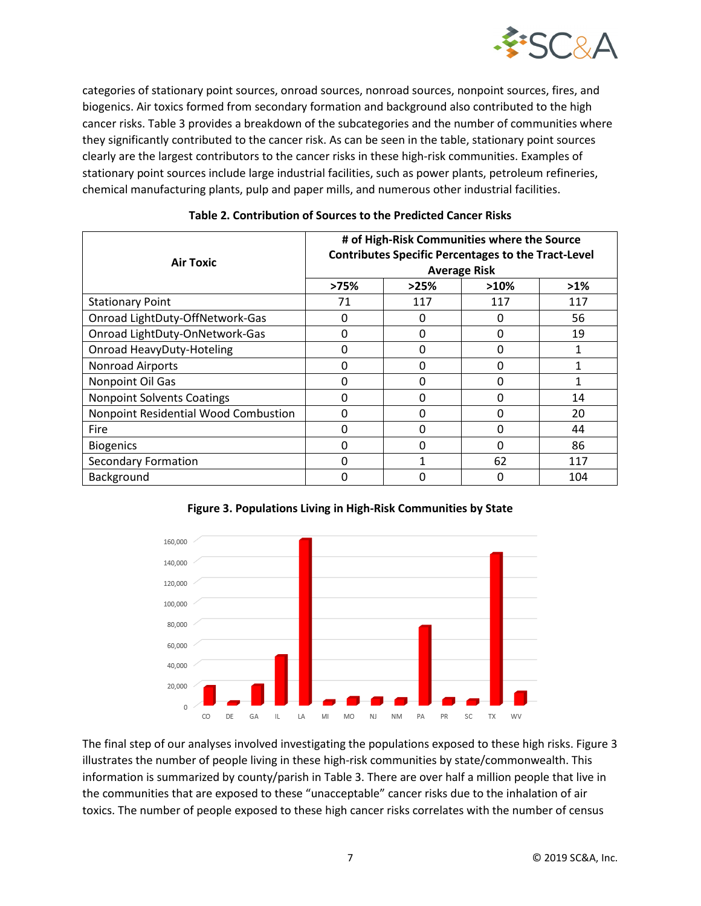

categories of stationary point sources, onroad sources, nonroad sources, nonpoint sources, fires, and biogenics. Air toxics formed from secondary formation and background also contributed to the high cancer risks. Table 3 provides a breakdown of the subcategories and the number of communities where they significantly contributed to the cancer risk. As can be seen in the table, stationary point sources clearly are the largest contributors to the cancer risks in these high-risk communities. Examples of stationary point sources include large industrial facilities, such as power plants, petroleum refineries, chemical manufacturing plants, pulp and paper mills, and numerous other industrial facilities.

| <b>Air Toxic</b>                     | # of High-Risk Communities where the Source<br><b>Contributes Specific Percentages to the Tract-Level</b><br><b>Average Risk</b> |              |              |        |
|--------------------------------------|----------------------------------------------------------------------------------------------------------------------------------|--------------|--------------|--------|
|                                      | >75%                                                                                                                             | >25%         | $>10\%$      | $>1\%$ |
| <b>Stationary Point</b>              | 71                                                                                                                               | 117          | 117          | 117    |
| Onroad LightDuty-OffNetwork-Gas      | 0                                                                                                                                | 0            | 0            | 56     |
| Onroad LightDuty-OnNetwork-Gas       | 0                                                                                                                                | 0            | $\mathbf{0}$ | 19     |
| <b>Onroad HeavyDuty-Hoteling</b>     | 0                                                                                                                                | <sup>0</sup> | $\Omega$     |        |
| Nonroad Airports                     | 0                                                                                                                                | 0            | 0            |        |
| Nonpoint Oil Gas                     | 0                                                                                                                                | $\Omega$     | $\Omega$     |        |
| <b>Nonpoint Solvents Coatings</b>    | 0                                                                                                                                | O            | $\Omega$     | 14     |
| Nonpoint Residential Wood Combustion | 0                                                                                                                                | O            | 0            | 20     |
| Fire                                 | 0                                                                                                                                | <sup>0</sup> | $\Omega$     | 44     |
| <b>Biogenics</b>                     | 0                                                                                                                                | O            | $\Omega$     | 86     |
| <b>Secondary Formation</b>           | 0                                                                                                                                |              | 62           | 117    |
| Background                           | 0                                                                                                                                | O            | 0            | 104    |

#### **Table 2. Contribution of Sources to the Predicted Cancer Risks**





The final step of our analyses involved investigating the populations exposed to these high risks. Figure 3 illustrates the number of people living in these high-risk communities by state/commonwealth. This information is summarized by county/parish in Table 3. There are over half a million people that live in the communities that are exposed to these "unacceptable" cancer risks due to the inhalation of air toxics. The number of people exposed to these high cancer risks correlates with the number of census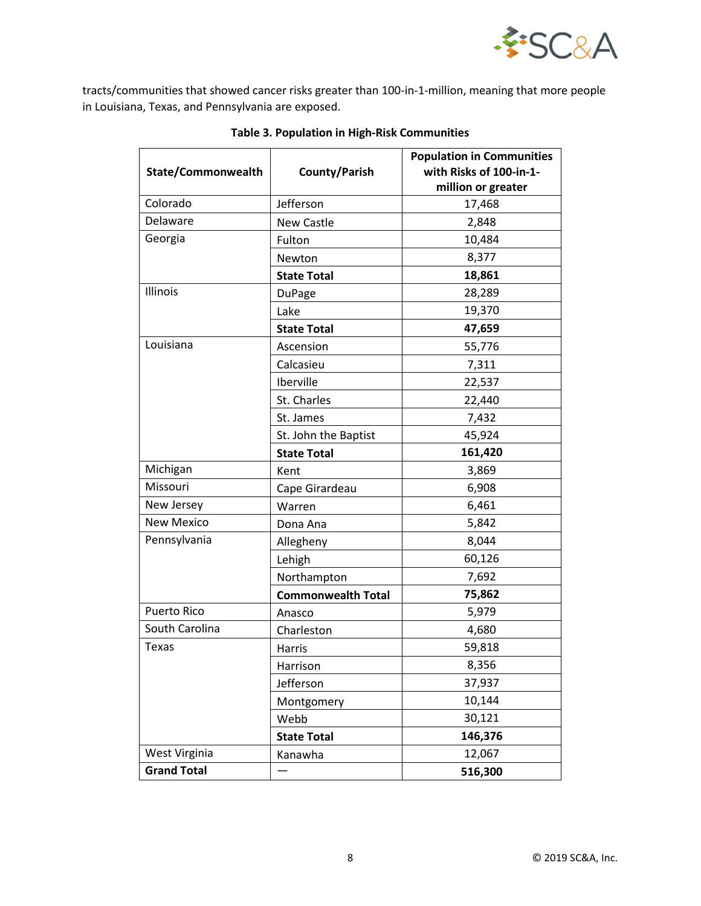

tracts/communities that showed cancer risks greater than 100-in-1-million, meaning that more people in Louisiana, Texas, and Pennsylvania are exposed.

|                    |                           | <b>Population in Communities</b> |  |
|--------------------|---------------------------|----------------------------------|--|
| State/Commonwealth | County/Parish             | with Risks of 100-in-1-          |  |
| Colorado           |                           | million or greater               |  |
|                    | Jefferson                 | 17,468                           |  |
| Delaware           | <b>New Castle</b>         | 2,848                            |  |
| Georgia            | Fulton                    | 10,484                           |  |
|                    | Newton                    | 8,377                            |  |
|                    | <b>State Total</b>        | 18,861                           |  |
| Illinois           | <b>DuPage</b>             | 28,289                           |  |
|                    | Lake                      | 19,370                           |  |
|                    | <b>State Total</b>        | 47,659                           |  |
| Louisiana          | Ascension                 | 55,776                           |  |
|                    | Calcasieu                 | 7,311                            |  |
|                    | Iberville                 | 22,537                           |  |
|                    | St. Charles               | 22,440                           |  |
|                    | St. James                 | 7,432                            |  |
|                    | St. John the Baptist      | 45,924                           |  |
|                    | <b>State Total</b>        | 161,420                          |  |
| Michigan           | Kent                      | 3,869                            |  |
| Missouri           | Cape Girardeau            | 6,908                            |  |
| New Jersey         | Warren                    | 6,461                            |  |
| <b>New Mexico</b>  | Dona Ana                  | 5,842                            |  |
| Pennsylvania       | Allegheny                 | 8,044                            |  |
|                    | Lehigh                    | 60,126                           |  |
|                    | Northampton               | 7,692                            |  |
|                    | <b>Commonwealth Total</b> | 75,862                           |  |
| <b>Puerto Rico</b> | Anasco                    | 5,979                            |  |
| South Carolina     | Charleston                | 4,680                            |  |
| Texas              | Harris                    | 59,818                           |  |
|                    | Harrison                  | 8,356                            |  |
|                    | Jefferson                 | 37,937                           |  |
|                    | Montgomery                | 10,144                           |  |
|                    | Webb                      | 30,121                           |  |
|                    | <b>State Total</b>        | 146,376                          |  |
| West Virginia      | Kanawha                   | 12,067                           |  |
| <b>Grand Total</b> |                           | 516,300                          |  |

### **Table 3. Population in High-Risk Communities**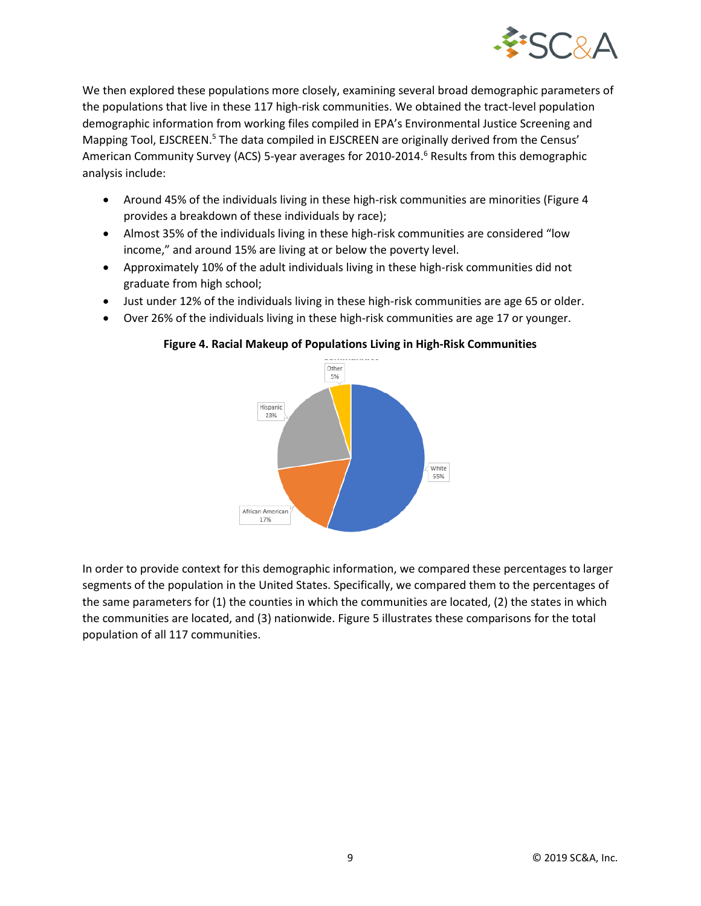

We then explored these populations more closely, examining several broad demographic parameters of the populations that live in these 117 high-risk communities. We obtained the tract-level population demographic information from working files compiled in EPA's Environmental Justice Screening and Mapping Tool, EJSCREEN.<sup>5</sup> The data compiled in EJSCREEN are originally derived from the Census' American Community Survey (ACS) 5-year averages for 2010-2014.<sup>6</sup> Results from this demographic analysis include:

- Around 45% of the individuals living in these high-risk communities are minorities (Figure 4 provides a breakdown of these individuals by race);
- Almost 35% of the individuals living in these high-risk communities are considered "low income," and around 15% are living at or below the poverty level.
- Approximately 10% of the adult individuals living in these high-risk communities did not graduate from high school;
- Just under 12% of the individuals living in these high-risk communities are age 65 or older.
- Over 26% of the individuals living in these high-risk communities are age 17 or younger.



#### **Figure 4. Racial Makeup of Populations Living in High-Risk Communities**

In order to provide context for this demographic information, we compared these percentages to larger segments of the population in the United States. Specifically, we compared them to the percentages of the same parameters for (1) the counties in which the communities are located, (2) the states in which the communities are located, and (3) nationwide. Figure 5 illustrates these comparisons for the total population of all 117 communities.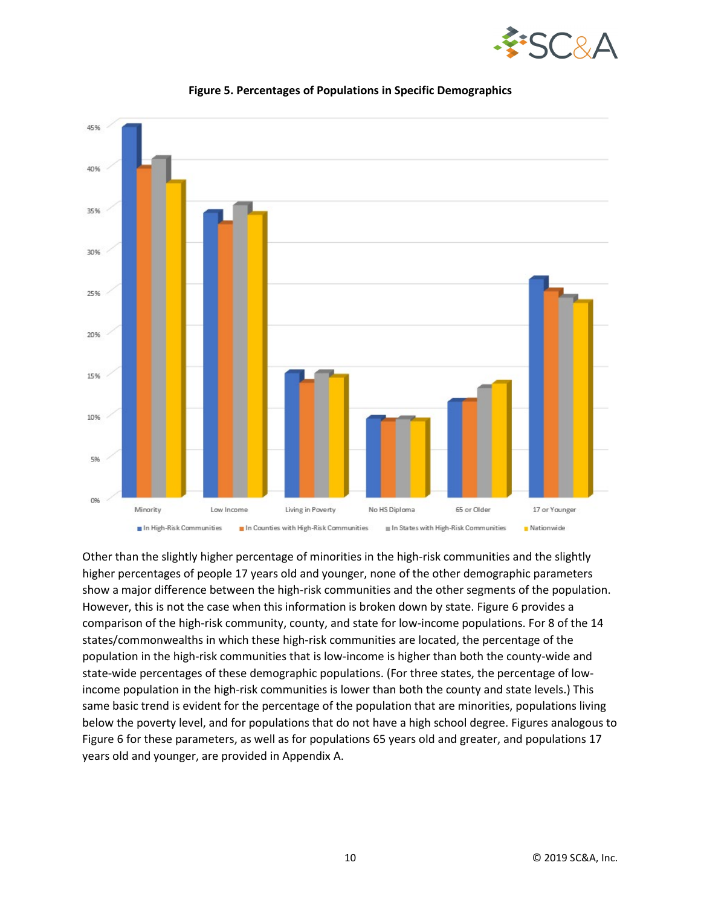



**Figure 5. Percentages of Populations in Specific Demographics**

Other than the slightly higher percentage of minorities in the high-risk communities and the slightly higher percentages of people 17 years old and younger, none of the other demographic parameters show a major difference between the high-risk communities and the other segments of the population. However, this is not the case when this information is broken down by state. Figure 6 provides a comparison of the high-risk community, county, and state for low-income populations. For 8 of the 14 states/commonwealths in which these high-risk communities are located, the percentage of the population in the high-risk communities that is low-income is higher than both the county-wide and state-wide percentages of these demographic populations. (For three states, the percentage of lowincome population in the high-risk communities is lower than both the county and state levels.) This same basic trend is evident for the percentage of the population that are minorities, populations living below the poverty level, and for populations that do not have a high school degree. Figures analogous to Figure 6 for these parameters, as well as for populations 65 years old and greater, and populations 17 years old and younger, are provided in Appendix A.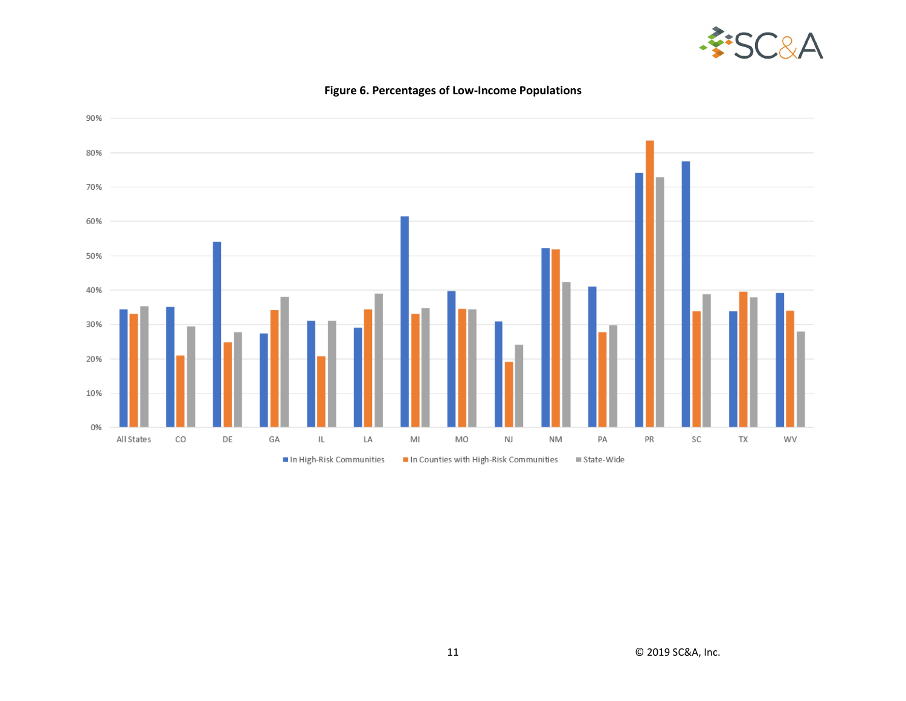



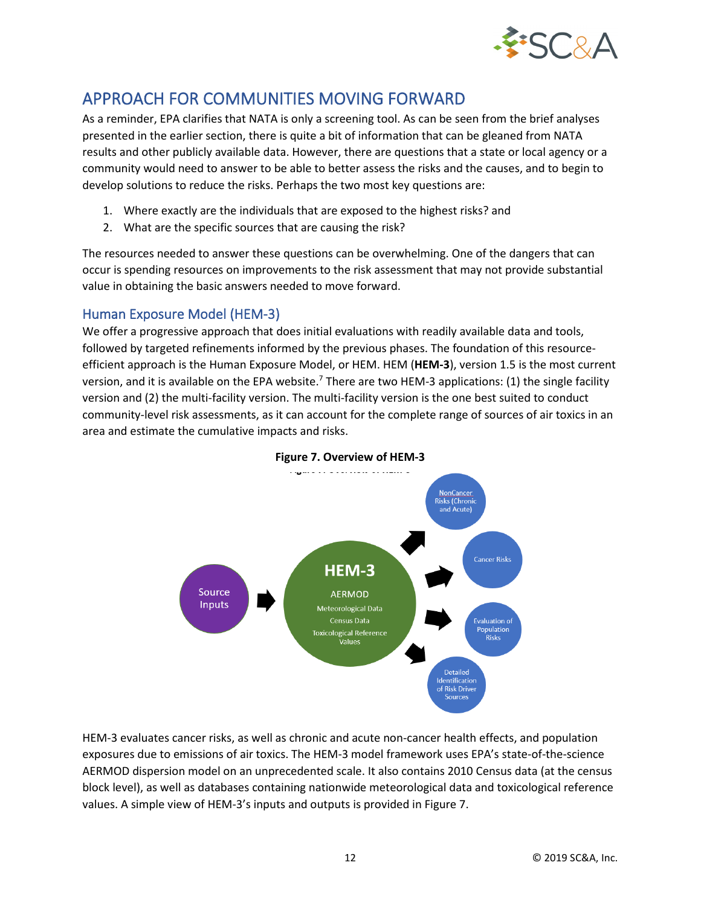

# APPROACH FOR COMMUNITIES MOVING FORWARD

As a reminder, EPA clarifies that NATA is only a screening tool. As can be seen from the brief analyses presented in the earlier section, there is quite a bit of information that can be gleaned from NATA results and other publicly available data. However, there are questions that a state or local agency or a community would need to answer to be able to better assess the risks and the causes, and to begin to develop solutions to reduce the risks. Perhaps the two most key questions are:

- 1. Where exactly are the individuals that are exposed to the highest risks? and
- 2. What are the specific sources that are causing the risk?

The resources needed to answer these questions can be overwhelming. One of the dangers that can occur is spending resources on improvements to the risk assessment that may not provide substantial value in obtaining the basic answers needed to move forward.

### Human Exposure Model (HEM-3)

We offer a progressive approach that does initial evaluations with readily available data and tools, followed by targeted refinements informed by the previous phases. The foundation of this resourceefficient approach is the Human Exposure Model, or HEM. HEM (**HEM-3**), version 1.5 is the most current version, and it is available on the EPA website.<sup>7</sup> There are two HEM-3 applications: (1) the single facility version and (2) the multi-facility version. The multi-facility version is the one best suited to conduct community-level risk assessments, as it can account for the complete range of sources of air toxics in an area and estimate the cumulative impacts and risks.



**Figure 7. Overview of HEM-3** 

HEM-3 evaluates cancer risks, as well as chronic and acute non-cancer health effects, and population exposures due to emissions of air toxics. The HEM-3 model framework uses EPA's state-of-the-science AERMOD dispersion model on an unprecedented scale. It also contains 2010 Census data (at the census block level), as well as databases containing nationwide meteorological data and toxicological reference values. A simple view of HEM-3's inputs and outputs is provided in Figure 7.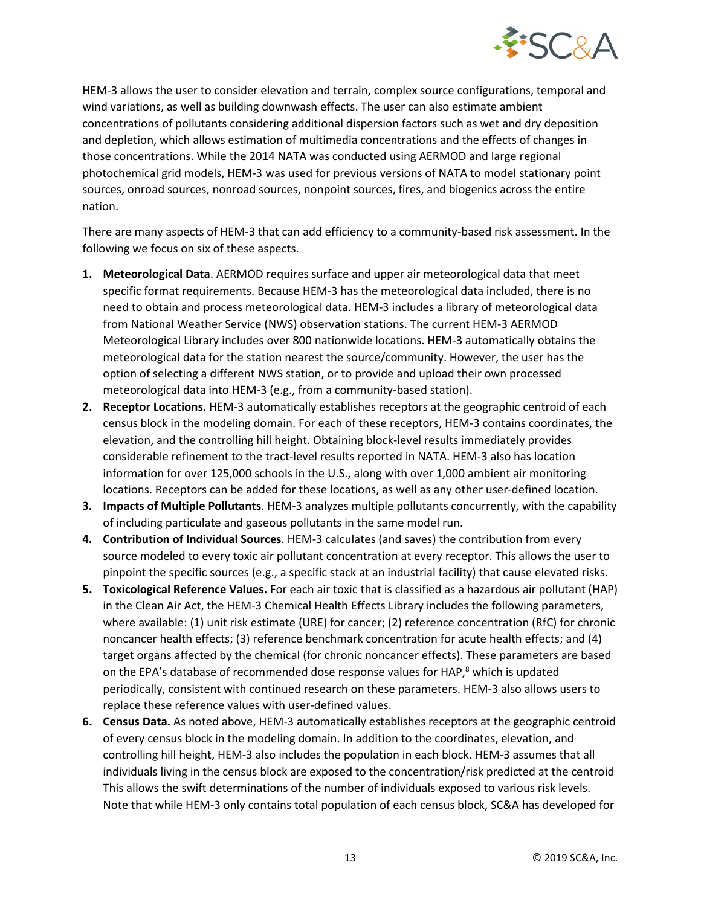

HEM-3 allows the user to consider elevation and terrain, complex source configurations, temporal and wind variations, as well as building downwash effects. The user can also estimate ambient concentrations of pollutants considering additional dispersion factors such as wet and dry deposition and depletion, which allows estimation of multimedia concentrations and the effects of changes in those concentrations. While the 2014 NATA was conducted using AERMOD and large regional photochemical grid models, HEM-3 was used for previous versions of NATA to model stationary point sources, onroad sources, nonroad sources, nonpoint sources, fires, and biogenics across the entire nation.

There are many aspects of HEM-3 that can add efficiency to a community-based risk assessment. In the following we focus on six of these aspects.

- **1. Meteorological Data**. AERMOD requires surface and upper air meteorological data that meet specific format requirements. Because HEM-3 has the meteorological data included, there is no need to obtain and process meteorological data. HEM-3 includes a library of meteorological data from National Weather Service (NWS) observation stations. The current HEM-3 AERMOD Meteorological Library includes over 800 nationwide locations. HEM-3 automatically obtains the meteorological data for the station nearest the source/community. However, the user has the option of selecting a different NWS station, or to provide and upload their own processed meteorological data into HEM-3 (e.g., from a community-based station).
- **2. Receptor Locations.** HEM-3 automatically establishes receptors at the geographic centroid of each census block in the modeling domain. For each of these receptors, HEM-3 contains coordinates, the elevation, and the controlling hill height. Obtaining block-level results immediately provides considerable refinement to the tract-level results reported in NATA. HEM-3 also has location information for over 125,000 schools in the U.S., along with over 1,000 ambient air monitoring locations. Receptors can be added for these locations, as well as any other user-defined location.
- **3. Impacts of Multiple Pollutants**. HEM-3 analyzes multiple pollutants concurrently, with the capability of including particulate and gaseous pollutants in the same model run.
- **4. Contribution of Individual Sources**. HEM-3 calculates (and saves) the contribution from every source modeled to every toxic air pollutant concentration at every receptor. This allows the user to pinpoint the specific sources (e.g., a specific stack at an industrial facility) that cause elevated risks.
- **5. Toxicological Reference Values.** For each air toxic that is classified as a hazardous air pollutant (HAP) in the Clean Air Act, the HEM-3 Chemical Health Effects Library includes the following parameters, where available: (1) unit risk estimate (URE) for cancer; (2) reference concentration (RfC) for chronic noncancer health effects; (3) reference benchmark concentration for acute health effects; and (4) target organs affected by the chemical (for chronic noncancer effects). These parameters are based on the EPA's database of recommended dose response values for HAP,<sup>8</sup> which is updated periodically, consistent with continued research on these parameters. HEM-3 also allows users to replace these reference values with user-defined values.
- **6. Census Data.** As noted above, HEM-3 automatically establishes receptors at the geographic centroid of every census block in the modeling domain. In addition to the coordinates, elevation, and controlling hill height, HEM-3 also includes the population in each block. HEM-3 assumes that all individuals living in the census block are exposed to the concentration/risk predicted at the centroid This allows the swift determinations of the number of individuals exposed to various risk levels. Note that while HEM-3 only contains total population of each census block, SC&A has developed for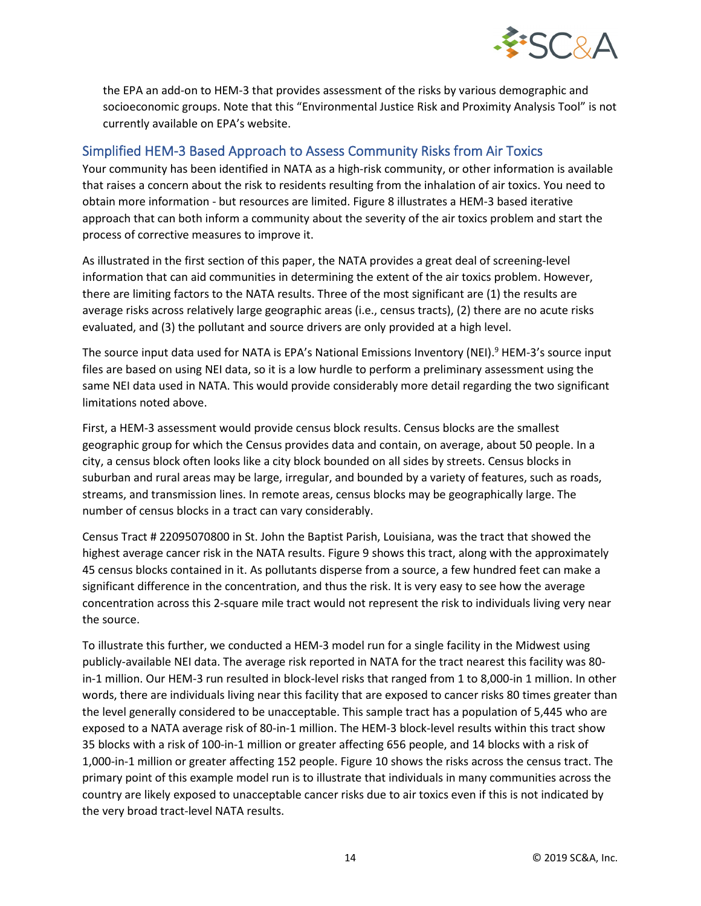

the EPA an add-on to HEM-3 that provides assessment of the risks by various demographic and socioeconomic groups. Note that this "Environmental Justice Risk and Proximity Analysis Tool" is not currently available on EPA's website.

### Simplified HEM-3 Based Approach to Assess Community Risks from Air Toxics

Your community has been identified in NATA as a high-risk community, or other information is available that raises a concern about the risk to residents resulting from the inhalation of air toxics. You need to obtain more information - but resources are limited. Figure 8 illustrates a HEM-3 based iterative approach that can both inform a community about the severity of the air toxics problem and start the process of corrective measures to improve it.

As illustrated in the first section of this paper, the NATA provides a great deal of screening-level information that can aid communities in determining the extent of the air toxics problem. However, there are limiting factors to the NATA results. Three of the most significant are (1) the results are average risks across relatively large geographic areas (i.e., census tracts), (2) there are no acute risks evaluated, and (3) the pollutant and source drivers are only provided at a high level.

The source input data used for NATA is EPA's National Emissions Inventory (NEI).<sup>9</sup> HEM-3's source input files are based on using NEI data, so it is a low hurdle to perform a preliminary assessment using the same NEI data used in NATA. This would provide considerably more detail regarding the two significant limitations noted above.

First, a HEM-3 assessment would provide census block results. Census blocks are the smallest geographic group for which the Census provides data and contain, on average, about 50 people. In a city, a census block often looks like a city block bounded on all sides by streets. Census blocks in suburban and rural areas may be large, irregular, and bounded by a variety of features, such as roads, streams, and transmission lines. In remote areas, census blocks may be geographically large. The number of census blocks in a tract can vary considerably.

Census Tract # 22095070800 in St. John the Baptist Parish, Louisiana, was the tract that showed the highest average cancer risk in the NATA results. Figure 9 shows this tract, along with the approximately 45 census blocks contained in it. As pollutants disperse from a source, a few hundred feet can make a significant difference in the concentration, and thus the risk. It is very easy to see how the average concentration across this 2-square mile tract would not represent the risk to individuals living very near the source.

To illustrate this further, we conducted a HEM-3 model run for a single facility in the Midwest using publicly-available NEI data. The average risk reported in NATA for the tract nearest this facility was 80 in-1 million. Our HEM-3 run resulted in block-level risks that ranged from 1 to 8,000-in 1 million. In other words, there are individuals living near this facility that are exposed to cancer risks 80 times greater than the level generally considered to be unacceptable. This sample tract has a population of 5,445 who are exposed to a NATA average risk of 80-in-1 million. The HEM-3 block-level results within this tract show 35 blocks with a risk of 100-in-1 million or greater affecting 656 people, and 14 blocks with a risk of 1,000-in-1 million or greater affecting 152 people. Figure 10 shows the risks across the census tract. The primary point of this example model run is to illustrate that individuals in many communities across the country are likely exposed to unacceptable cancer risks due to air toxics even if this is not indicated by the very broad tract-level NATA results.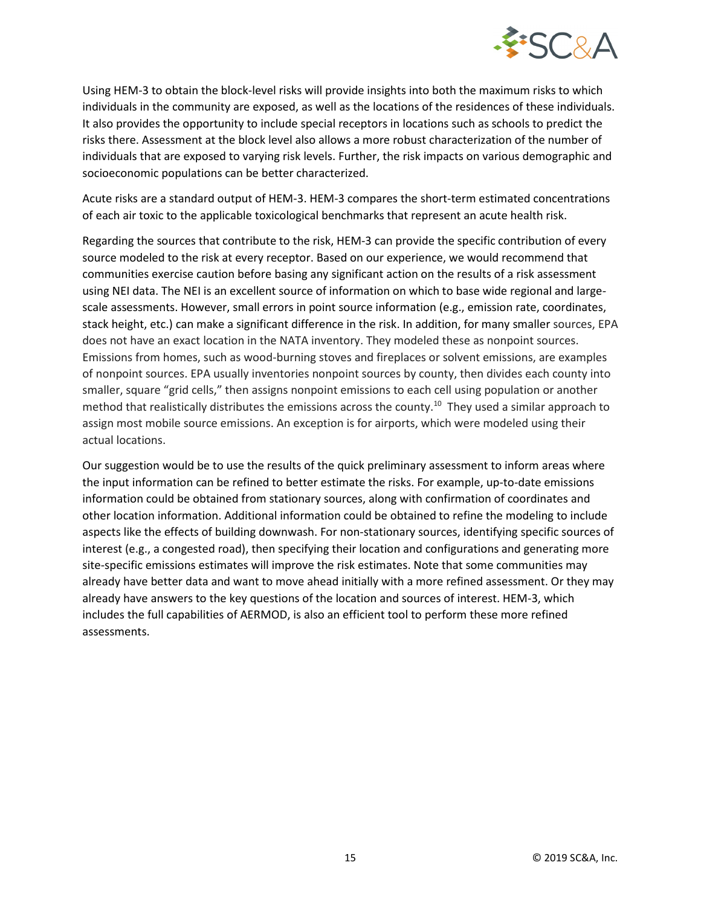

Using HEM-3 to obtain the block-level risks will provide insights into both the maximum risks to which individuals in the community are exposed, as well as the locations of the residences of these individuals. It also provides the opportunity to include special receptors in locations such as schools to predict the risks there. Assessment at the block level also allows a more robust characterization of the number of individuals that are exposed to varying risk levels. Further, the risk impacts on various demographic and socioeconomic populations can be better characterized.

Acute risks are a standard output of HEM-3. HEM-3 compares the short-term estimated concentrations of each air toxic to the applicable toxicological benchmarks that represent an acute health risk.

Regarding the sources that contribute to the risk, HEM-3 can provide the specific contribution of every source modeled to the risk at every receptor. Based on our experience, we would recommend that communities exercise caution before basing any significant action on the results of a risk assessment using NEI data. The NEI is an excellent source of information on which to base wide regional and largescale assessments. However, small errors in point source information (e.g., emission rate, coordinates, stack height, etc.) can make a significant difference in the risk. In addition, for many smaller sources, EPA does not have an exact location in the NATA inventory. They modeled these as nonpoint sources. Emissions from homes, such as wood-burning stoves and fireplaces or solvent emissions, are examples of nonpoint sources. EPA usually inventories nonpoint sources by county, then divides each county into smaller, square "grid cells," then assigns nonpoint emissions to each cell using population or another method that realistically distributes the emissions across the county. <sup>10</sup> They used a similar approach to assign most mobile source emissions. An exception is for airports, which were modeled using their actual locations.

Our suggestion would be to use the results of the quick preliminary assessment to inform areas where the input information can be refined to better estimate the risks. For example, up-to-date emissions information could be obtained from stationary sources, along with confirmation of coordinates and other location information. Additional information could be obtained to refine the modeling to include aspects like the effects of building downwash. For non-stationary sources, identifying specific sources of interest (e.g., a congested road), then specifying their location and configurations and generating more site-specific emissions estimates will improve the risk estimates. Note that some communities may already have better data and want to move ahead initially with a more refined assessment. Or they may already have answers to the key questions of the location and sources of interest. HEM-3, which includes the full capabilities of AERMOD, is also an efficient tool to perform these more refined assessments.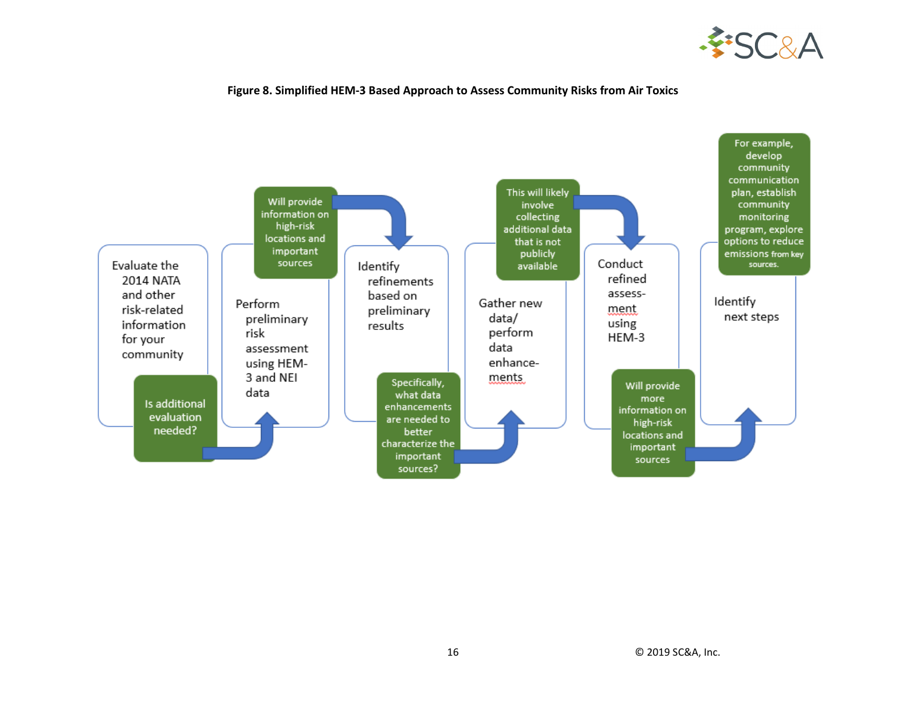

#### **Figure 8. Simplified HEM-3 Based Approach to Assess Community Risks from Air Toxics**

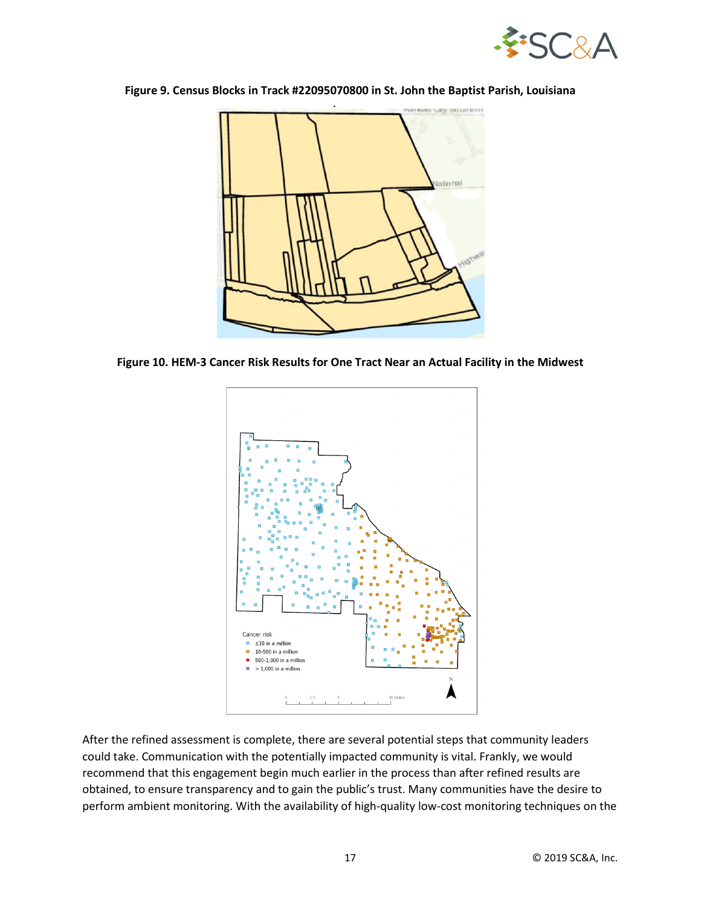

**Figure 9. Census Blocks in Track #22095070800 in St. John the Baptist Parish, Louisiana**



**Figure 10. HEM-3 Cancer Risk Results for One Tract Near an Actual Facility in the Midwest**



After the refined assessment is complete, there are several potential steps that community leaders could take. Communication with the potentially impacted community is vital. Frankly, we would recommend that this engagement begin much earlier in the process than after refined results are obtained, to ensure transparency and to gain the public's trust. Many communities have the desire to perform ambient monitoring. With the availability of high-quality low-cost monitoring techniques on the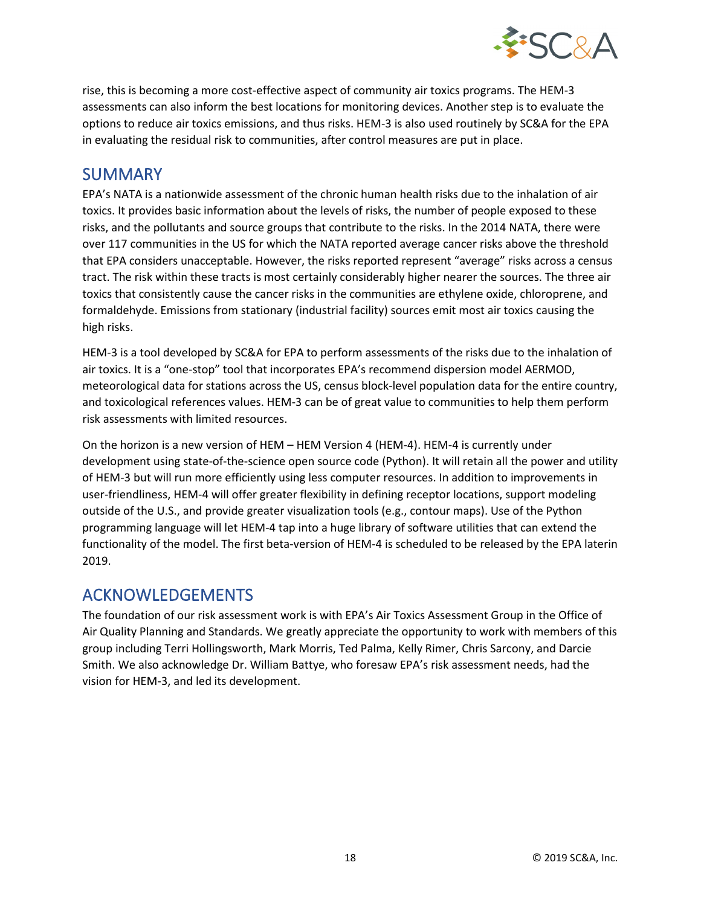

rise, this is becoming a more cost-effective aspect of community air toxics programs. The HEM-3 assessments can also inform the best locations for monitoring devices. Another step is to evaluate the options to reduce air toxics emissions, and thus risks. HEM-3 is also used routinely by SC&A for the EPA in evaluating the residual risk to communities, after control measures are put in place.

# SUMMARY

EPA's NATA is a nationwide assessment of the chronic human health risks due to the inhalation of air toxics. It provides basic information about the levels of risks, the number of people exposed to these risks, and the pollutants and source groups that contribute to the risks. In the 2014 NATA, there were over 117 communities in the US for which the NATA reported average cancer risks above the threshold that EPA considers unacceptable. However, the risks reported represent "average" risks across a census tract. The risk within these tracts is most certainly considerably higher nearer the sources. The three air toxics that consistently cause the cancer risks in the communities are ethylene oxide, chloroprene, and formaldehyde. Emissions from stationary (industrial facility) sources emit most air toxics causing the high risks.

HEM-3 is a tool developed by SC&A for EPA to perform assessments of the risks due to the inhalation of air toxics. It is a "one-stop" tool that incorporates EPA's recommend dispersion model AERMOD, meteorological data for stations across the US, census block-level population data for the entire country, and toxicological references values. HEM-3 can be of great value to communities to help them perform risk assessments with limited resources.

On the horizon is a new version of HEM – HEM Version 4 (HEM-4). HEM-4 is currently under development using state-of-the-science open source code (Python). It will retain all the power and utility of HEM-3 but will run more efficiently using less computer resources. In addition to improvements in user-friendliness, HEM-4 will offer greater flexibility in defining receptor locations, support modeling outside of the U.S., and provide greater visualization tools (e.g., contour maps). Use of the Python programming language will let HEM-4 tap into a huge library of software utilities that can extend the functionality of the model. The first beta-version of HEM-4 is scheduled to be released by the EPA laterin 2019.

### ACKNOWLEDGEMENTS

The foundation of our risk assessment work is with EPA's Air Toxics Assessment Group in the Office of Air Quality Planning and Standards. We greatly appreciate the opportunity to work with members of this group including Terri Hollingsworth, Mark Morris, Ted Palma, Kelly Rimer, Chris Sarcony, and Darcie Smith. We also acknowledge Dr. William Battye, who foresaw EPA's risk assessment needs, had the vision for HEM-3, and led its development.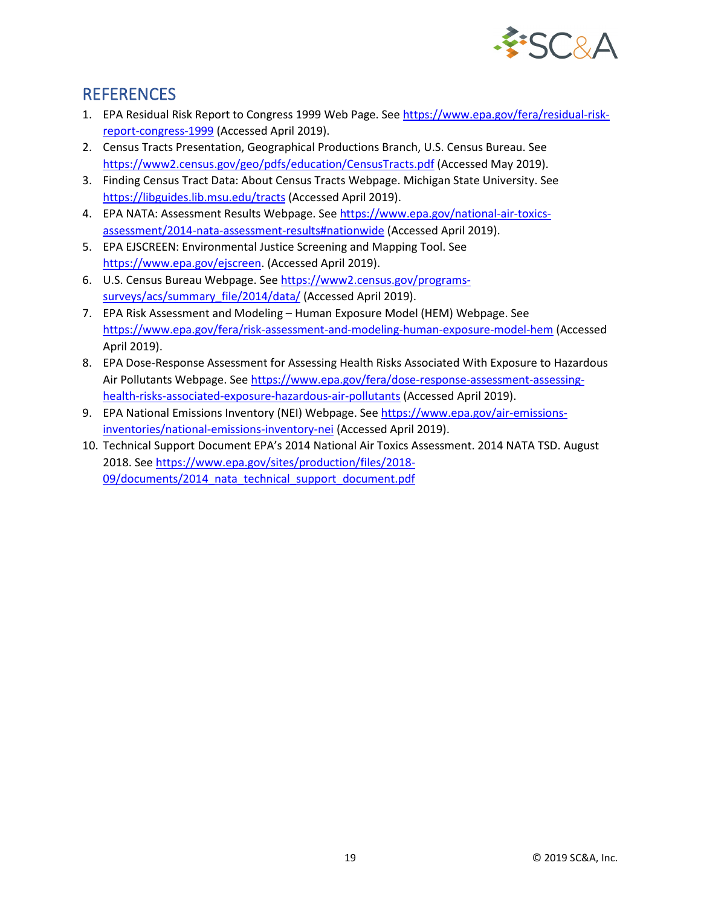

# **REFERENCES**

- 1. EPA Residual Risk Report to Congress 1999 Web Page. See [https://www.epa.gov/fera/residual-risk](https://www.epa.gov/fera/residual-risk-report-congress-1999)[report-congress-1999](https://www.epa.gov/fera/residual-risk-report-congress-1999) (Accessed April 2019).
- 2. Census Tracts Presentation, Geographical Productions Branch, U.S. Census Bureau. See <https://www2.census.gov/geo/pdfs/education/CensusTracts.pdf> (Accessed May 2019).
- 3. Finding Census Tract Data: About Census Tracts Webpage. Michigan State University. See <https://libguides.lib.msu.edu/tracts> (Accessed April 2019).
- 4. EPA NATA: Assessment Results Webpage. See [https://www.epa.gov/national-air-toxics](https://www.epa.gov/national-air-toxics-assessment/2014-nata-assessment-results#nationwide)[assessment/2014-nata-assessment-results#nationwide](https://www.epa.gov/national-air-toxics-assessment/2014-nata-assessment-results#nationwide) (Accessed April 2019).
- 5. EPA EJSCREEN: Environmental Justice Screening and Mapping Tool. See [https://www.epa.gov/ejscreen.](https://www.epa.gov/ejscreen) (Accessed April 2019).
- 6. U.S. Census Bureau Webpage. See [https://www2.census.gov/programs](https://www2.census.gov/programs-surveys/acs/summary_file/2014/data/)[surveys/acs/summary\\_file/2014/data/](https://www2.census.gov/programs-surveys/acs/summary_file/2014/data/) (Accessed April 2019).
- 7. EPA Risk Assessment and Modeling Human Exposure Model (HEM) Webpage. See <https://www.epa.gov/fera/risk-assessment-and-modeling-human-exposure-model-hem> (Accessed April 2019).
- 8. EPA Dose-Response Assessment for Assessing Health Risks Associated With Exposure to Hazardous Air Pollutants Webpage. See [https://www.epa.gov/fera/dose-response-assessment-assessing](https://www.epa.gov/fera/dose-response-assessment-assessing-health-risks-associated-exposure-hazardous-air-pollutants)[health-risks-associated-exposure-hazardous-air-pollutants](https://www.epa.gov/fera/dose-response-assessment-assessing-health-risks-associated-exposure-hazardous-air-pollutants) (Accessed April 2019).
- 9. EPA National Emissions Inventory (NEI) Webpage. See [https://www.epa.gov/air-emissions](https://www.epa.gov/air-emissions-inventories/national-emissions-inventory-nei)[inventories/national-emissions-inventory-nei](https://www.epa.gov/air-emissions-inventories/national-emissions-inventory-nei) (Accessed April 2019).
- 10. Technical Support Document EPA's 2014 National Air Toxics Assessment. 2014 NATA TSD. August 2018. See [https://www.epa.gov/sites/production/files/2018-](https://www.epa.gov/sites/production/files/2018-09/documents/2014_nata_technical_support_document.pdf) 09/documents/2014 nata technical support document.pdf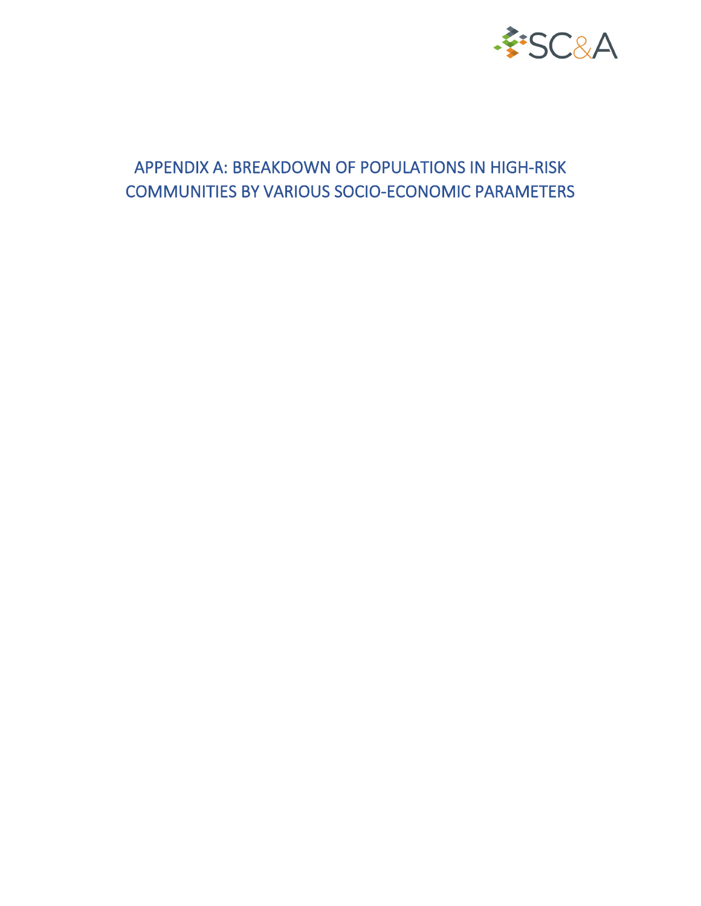

# APPENDIX A: BREAKDOWN OF POPULATIONS IN HIGH-RISK COMMUNITIES BY VARIOUS SOCIO-ECONOMIC PARAMETERS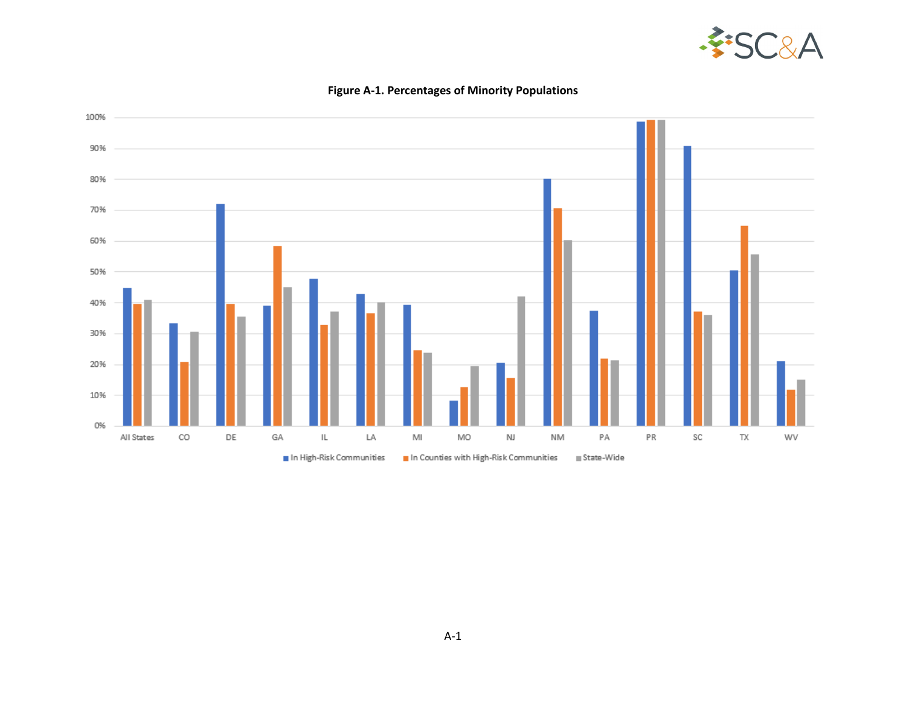



### **Figure A-1. Percentages of Minority Populations**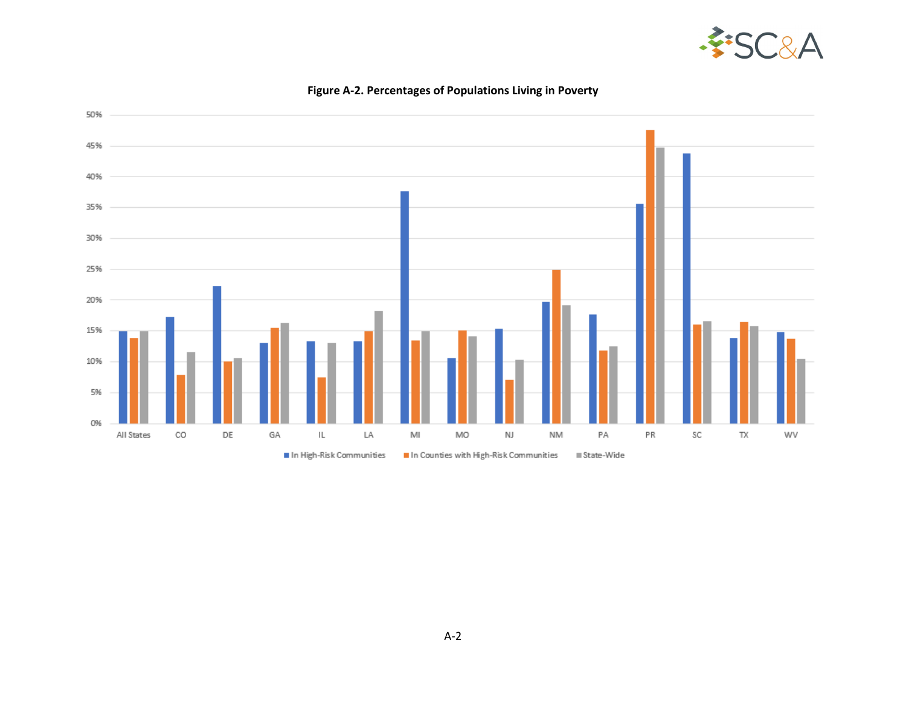



**Figure A-2. Percentages of Populations Living in Poverty**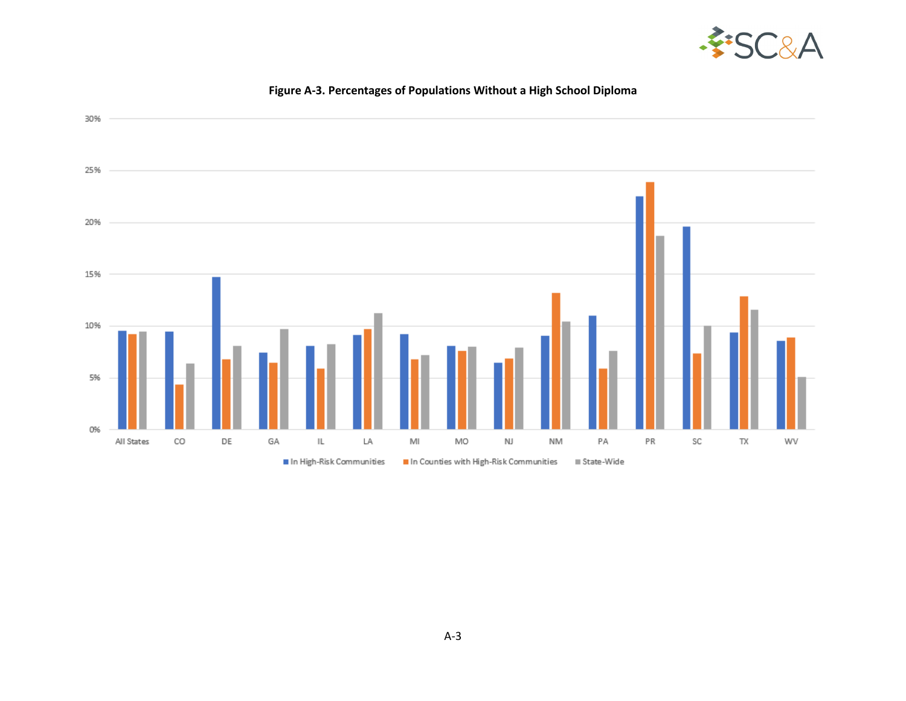



### **Figure A-3. Percentages of Populations Without a High School Diploma**

 $\blacksquare$  In High-Risk Communities In Counties with High-Risk Communities  $\equiv$  State-Wide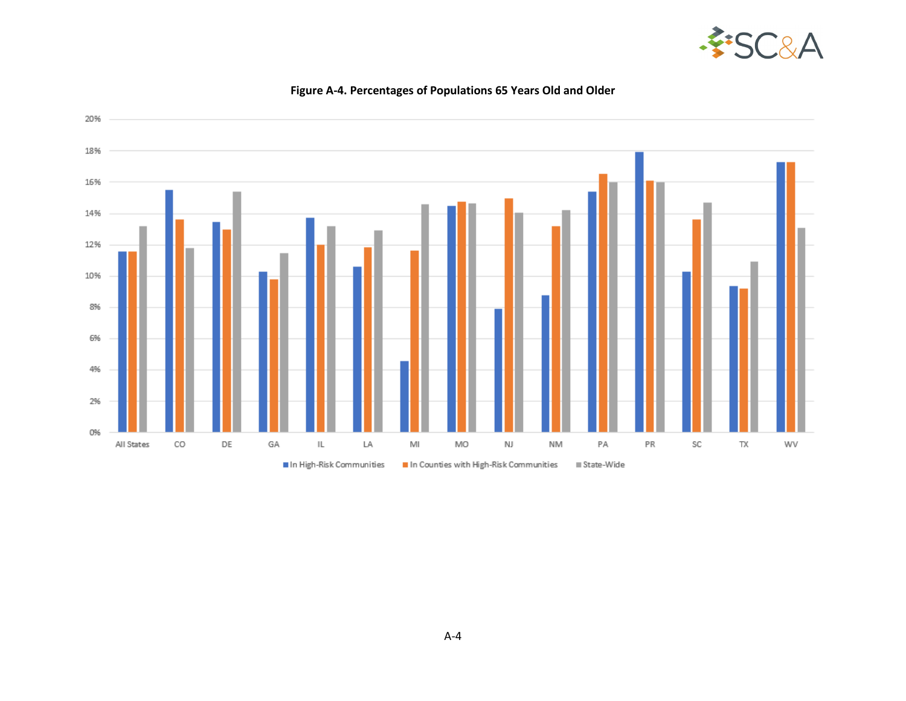



#### **Figure A-4. Percentages of Populations 65 Years Old and Older**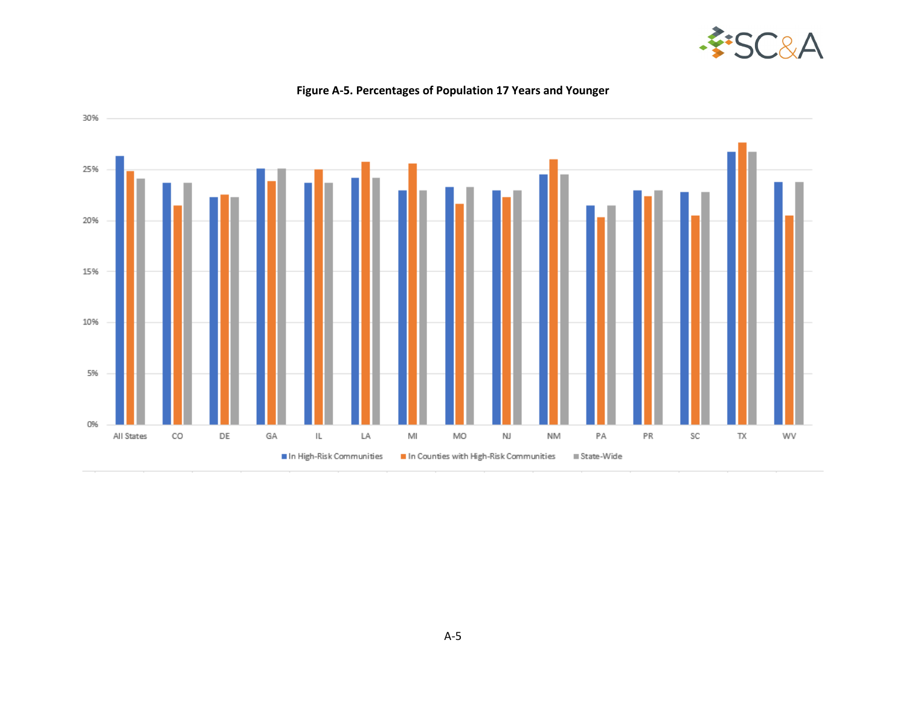



### **Figure A-5. Percentages of Population 17 Years and Younger**